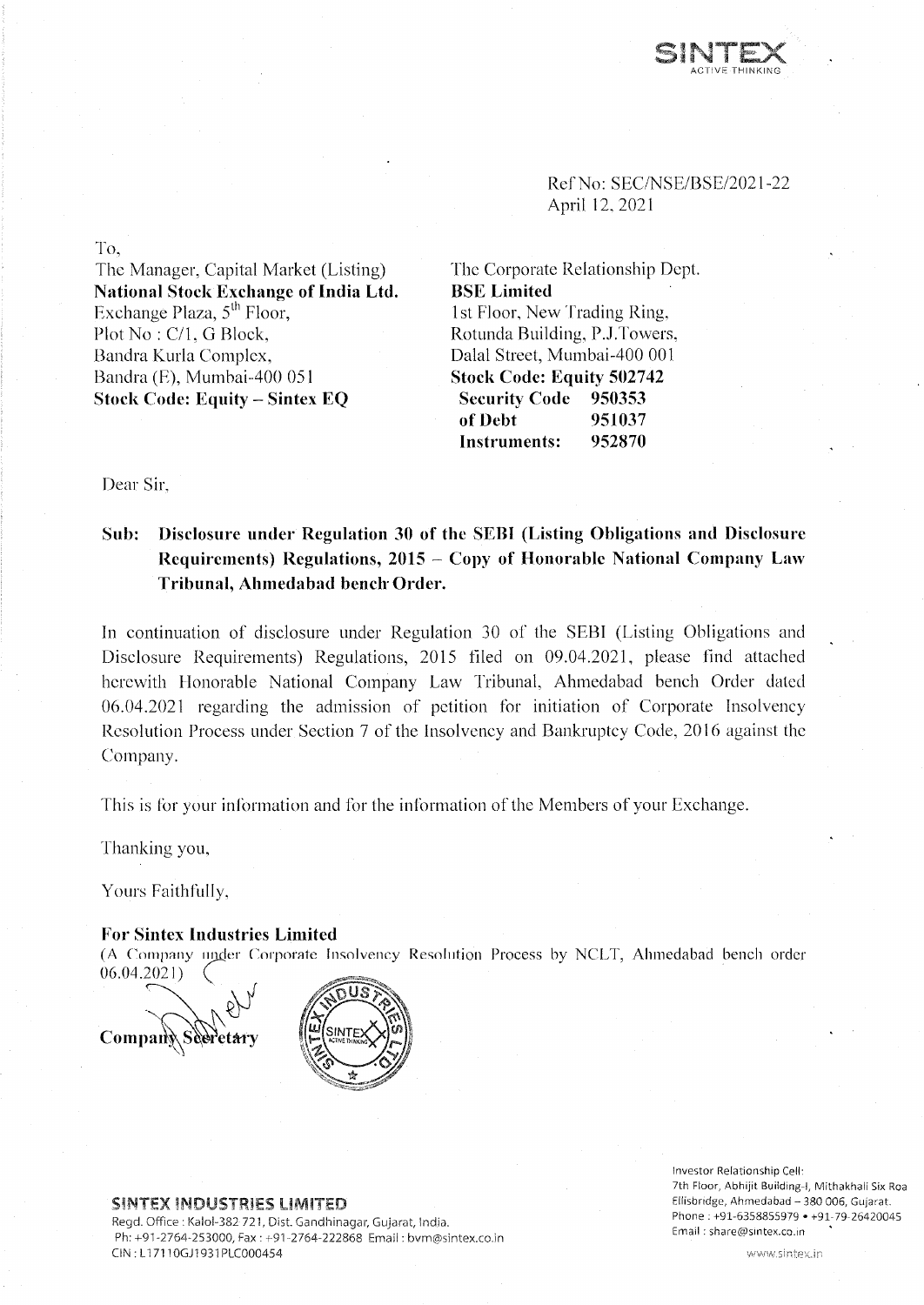

Ref No: SEC/NSE/BSE/2021-22 April 12, 2021

The Corporate Relationship Dept. **BSE Limited** 1st Floor, New Trading Ring, Rotunda Building, P.J.Towers, Dalai Street, Mumbai-400 001 **Stock Code: Equity 502742 Security Code 950353 of Debt 951037 Instruments: 952870**

To,

The Manager, Capital Market (Listing) **National Stock Exchange of India Ltd.** Exchange Plaza,  $5<sup>th</sup>$  Floor, Plot No: C/1, G Block, Bandra Kurla Complex, Bandra (E), Mumbai-400 051 **Stock Code: Equity - Sintex EQ**

Dear Sir

## **Sub: Disclosure under Regulation 30 of the SEBI (Listing Obligations and Disclosure Requirements) Regulations, 2015 - Copy of Honorable National Company Law Tribunal, Ahmedabad bench Order.**

In continuation of disclosure under Regulation 30 of the SEBI (Listing Obligations and Disclosure Requirements) Regulations, 2015 filed on 09.04.2021, please find attached herewith Honorable National Company Law Tribunal, Ahmedabad bench Order dated 06.04.2021 regarding the admission of petition for initiation of Corporate Insolvency Resolution Process under Section 7 of the Insolvency and Bankruptcy Code, 2016 against the Company.

This is for your information and for the information of the Members of your Exchange.

Thanking you,

Yours Faithfully,

#### **For Sintex Industries Limited**

(A Company under Corporate Insolvency Resolution Process by NCLT, Ahmedabad bench order 06.04.2021)





#### **SINTEX INDUSTRIES LIMITED**

Regd. Office : Kalol-382 721, Dist. Gandhinagar, Gujarat, India. Ph: +91 -2764-253000, Fax : +91-2764-222868 Email: [bvm@sintex.co.in](mailto:bvm@sintex.co.in) CiN : LI 7110GJ1931PLC000454

Investor Relationship Cell: 7th Floor, Abhijit Building-1, Mithakhali Six Roa Ellisbridge, Ahmedabad - 380 006, Gujarat. Phone : +91-6358855979 • +91-79-26420045 Email : [share@sintex.co.in](mailto:share@sintex.co.in)

www.sintex.in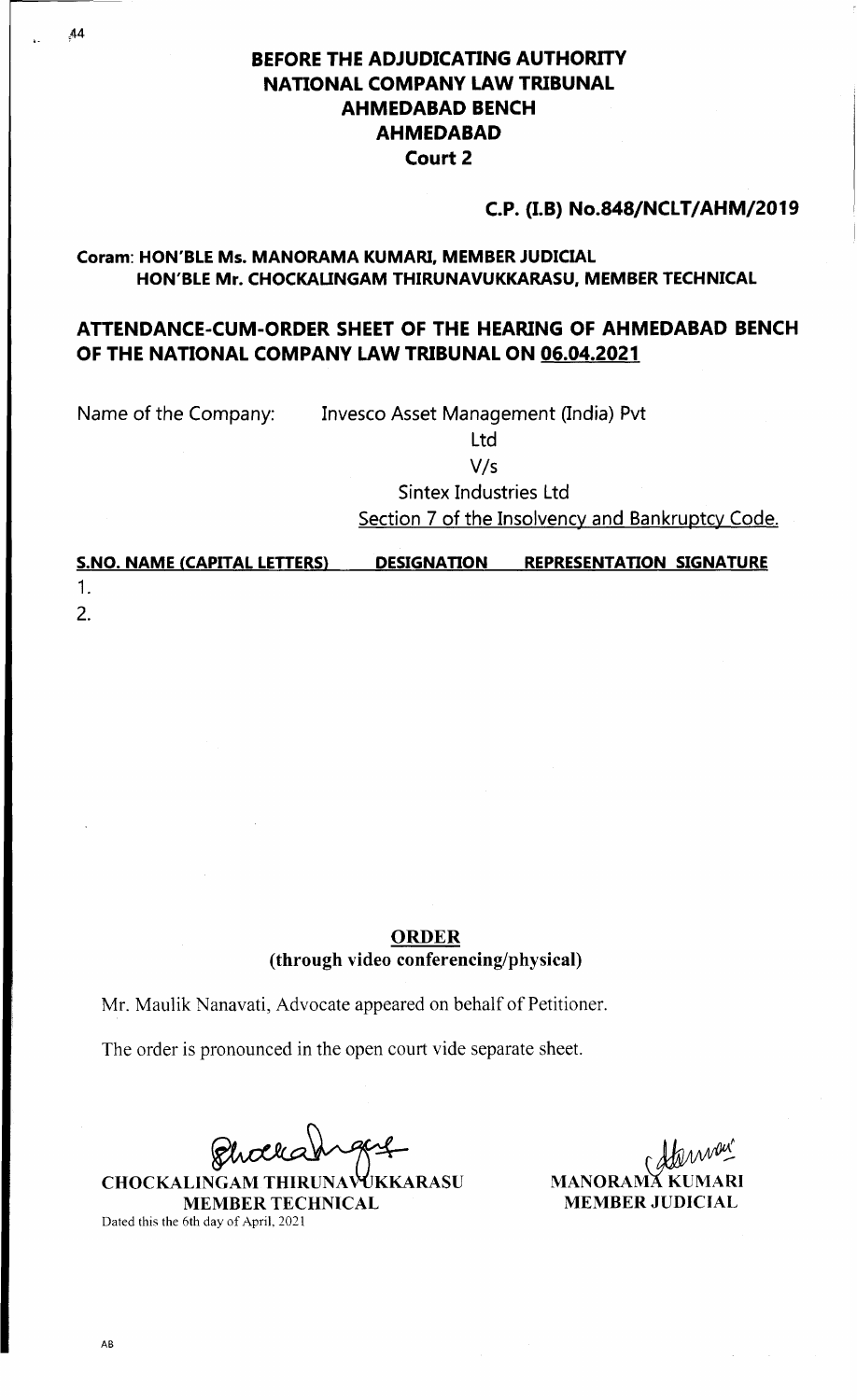# **BEFORE THE ADJUDICATING AUTHORITY NATIONAL COMPANY LAW TRIBUNAL AHMEDABAD BENCH AHMEDABAD Court 2**

## **C.P. (I.B) No.848/NCLT/AHM/2019**

## **Coram: HON'BLE Ms. MANORAMA KUMARI, MEMBER JUDICIAL HON'BLE Mr. CHOCKAUNGAM THIRUNAVUKKARASU, MEMBER TECHNICAL**

# **ATTENDANCE-CUM-ORDER SHEET OF THE HEARING OF AHMEDABAD BENCH OF THE NATIONAL COMPANY LAW TRIBUNAL ON 06.04.2021**

Name of the Company: Invesco Asset Management (India) Pvt

Ltd

V/s

Sintex Industries Ltd

Section 7 of the Insolvency and Bankruptcy Code.

| <b>S.NO. NAME (CAPITAL LETTERS)</b> | <b>DESIGNATION</b> | <b>REPRESENTATION SIGNATURE</b> |  |
|-------------------------------------|--------------------|---------------------------------|--|
|                                     |                    |                                 |  |
| 2.                                  |                    |                                 |  |

## **ORDER (through video conferencing/physical)**

Mr. Maulik Nanavati, Advocate appeared on behalf of Petitioner.

The order is pronounced in the open court vide separate sheet.

**CHOCKALINGAM THIRUNAVUKKARASU MEMBER TECHNICAL** Dated this the 6th day of April, 2021

**MANORAMĂ K MEMBER JUDICIAL**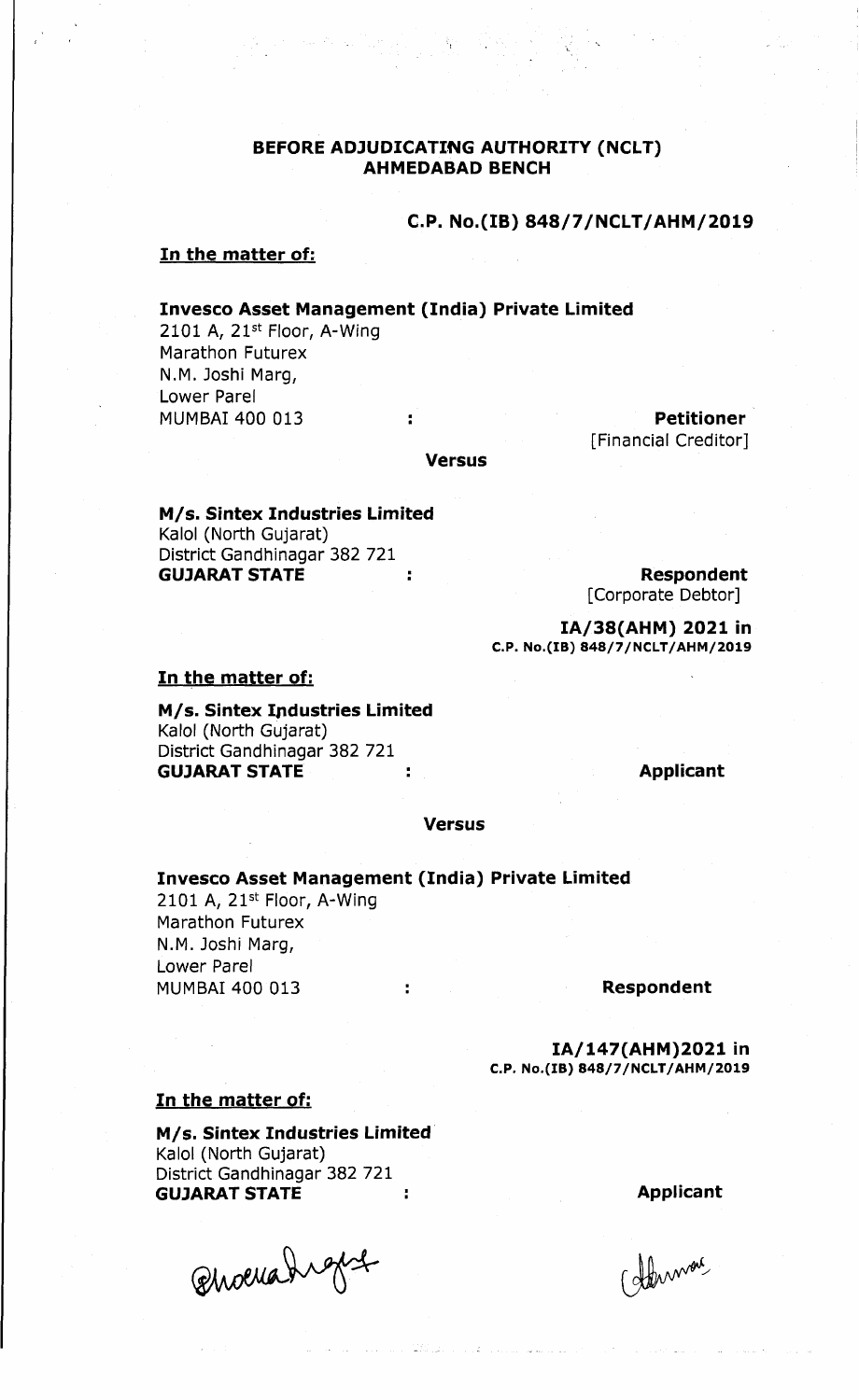## **BEFORE ADJUDICATING AUTHORITY (NCLT) AHMEDABAD BENCH**

## **C.P. No.(IB) 848/7/NCLT/AHM/2019**

### **In the matter of:**

#### **Invesco Asset Management (India) Private Limited**

2101 A, 21<sup>st</sup> Floor, A-Wing Marathon Futurex N.M. Joshi Marg, Lower Parel MUMBAI 400 013 **: Petitioner**

[Financial Creditor]

#### **Versus**

**M/s. Sintex Industries Limited** Kalol (North Gujarat) District Gandhinagar 382 721 **GUJARAT STATE THE Respondent STATE Respondent** 

[Corporate Debtor]

**IA/38(AHM) 2021 in C.P. No.(IB) 848/7/NCLT/AHM/2019**

#### **In the matter of:**

**M/s. Sintex Industries Limited** Kalol (North Gujarat) District Gandhinagar 382 721 **GUJARAT STATE 4.1 CONTRACT STATE Applicant** 

#### **Versus**

**Invesco Asset Management (India) Private Limited**

2101 A, 21st Floor, A-Wing Marathon Futurex N.M. Joshi Marg, Lower Parel MUMBAI 400 013 **: Respondent**

**IA/147(AHM)2021 in C.P. No.(IB) 848/7/NCLT/AHM/2019**

### **In the matter of:**

**M/s. Sintex Industries Limited** Kalol (North Gujarat) District Gandhinagar 382 721

GUJARAT STATE :<br>
Choella high for the relationship of the subserval Qhoerahiget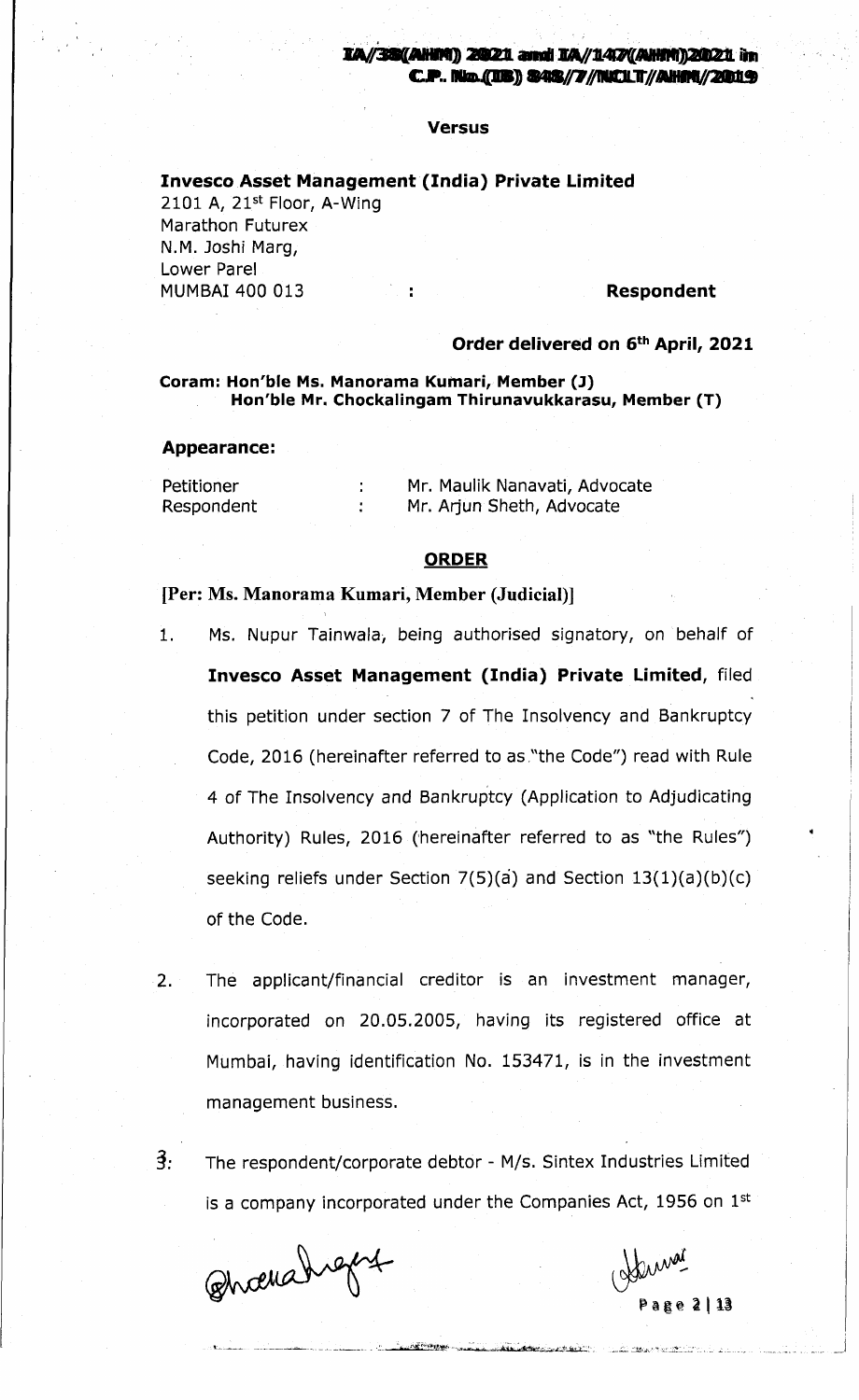#### **Versus**

### **Invesco Asset Management (India) Private Limited**

2101 A, 21st Floor, A-Wing Marathon Futurex N.M. Joshi Marg, Lower Pare! MUMBAI 400 013 : **Respondent**

#### **Order delivered on 6th April, 2021**

#### **Coram: Hon'ble Ms. Manorama Kumari, Member (J) Hon'ble Mr. Chockalingam Thirunavukkarasu, Member (T)**

#### **Appearance:**

Petitioner Respondent

Mr. Maulik Nanavati, Advocate Mr. Arjun Sheth, Advocate

### **ORDER**

#### [Per: Ms. Manorama Kumari, Member (Judicial)]

 $\mathcal{L}^{\mathcal{L}}$  $\mathcal{L}$ 

- 1. Ms. Nupur Tainwala, being authorised signatory, on behalf of **Invesco Asset Management (India) Private Limited,** filed this petition under section 7 of The Insolvency and Bankruptcy Code, 2016 (hereinafter referred to as "the Code") read with Rule 4 of The Insolvency and Bankruptcy (Application to Adjudicating Authority) Rules, 2016 (hereinafter referred to as "the Rules") seeking reliefs under Section  $7(5)(a)$  and Section  $13(1)(a)(b)(c)$ of the Code.
- 2. The applicant/financial creditor is an investment manager, incorporated on 20.05.2005, having its registered office at Mumbai, having identification No. 153471, is in the investment management business.
- 3: The respondent/corporate debtor M/s. Sintex Industries Limited is a company incorporated under the Companies Act, 1956 on  $1<sup>st</sup>$

<u> Margaret marini mara margaret (margaret 1980)</u>

Bhoevedraget

Page 2113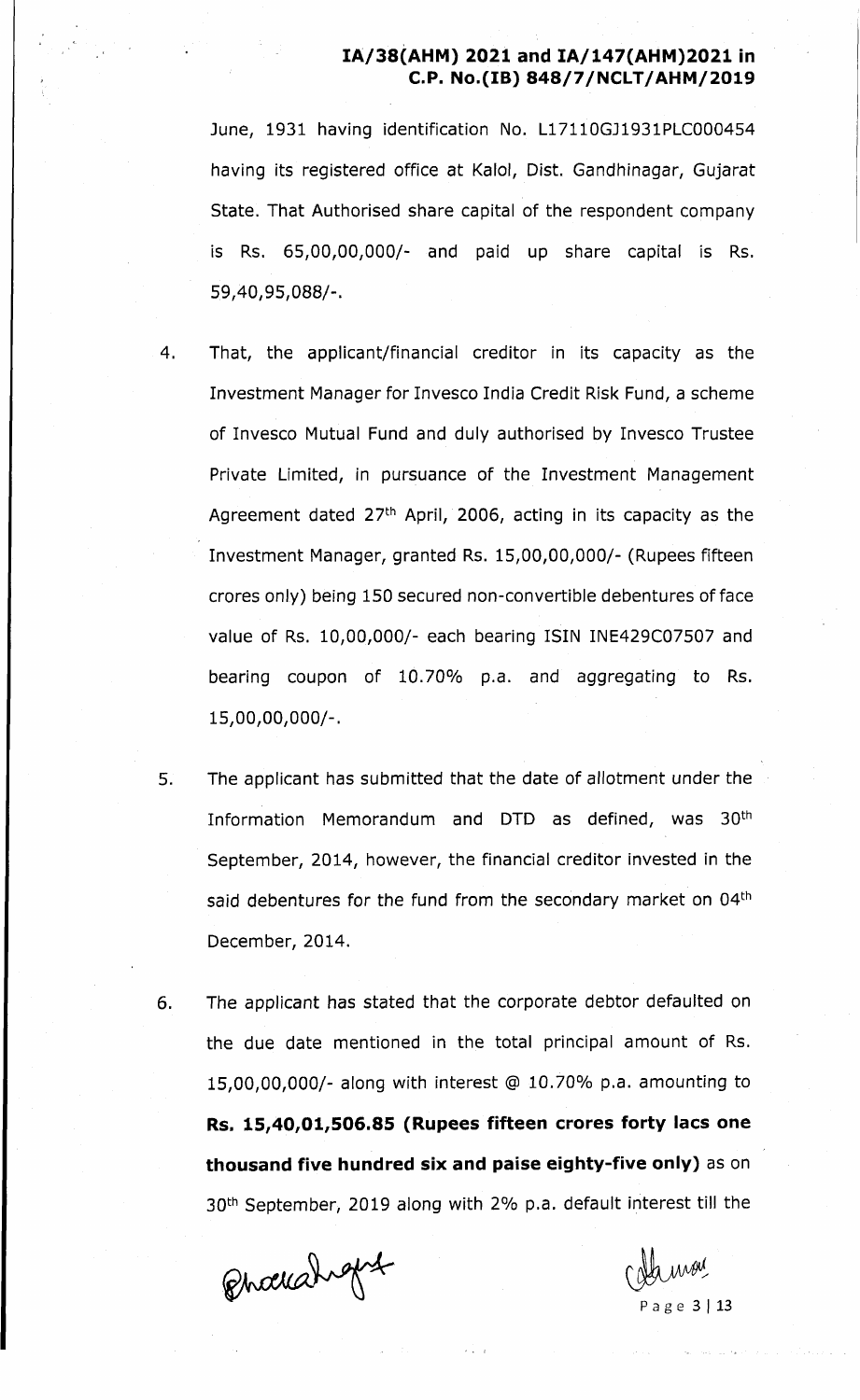June, 1931 having identification No. L17110GJ1931PLC000454 having its registered office at Kalol, Dist. Gandhinagar, Gujarat State. That Authorised share capital of the respondent company is Rs. 65,00,00,000/- and paid up share capital is Rs. 59,40,95,088/-.

- 4. That, the applicant/financial creditor in its capacity as the Investment Manager for Invesco India Credit Risk Fund, a scheme of Invesco Mutual Fund and duly authorised by Invesco Trustee Private Limited, in pursuance of the Investment Management Agreement dated  $27<sup>th</sup>$  April, 2006, acting in its capacity as the Investment Manager, granted Rs. 15,00,00,000/- (Rupees fifteen crores only) being 150 secured non-convertible debentures of face value of Rs. 10,00,000/- each bearing ISIN INE429C07507 and bearing coupon of 10.70% p.a. and aggregating to Rs. 15.00. 00.000/-.
- 5. The applicant has submitted that the date of allotment under the Information Memorandum and DTD as defined, was 30th September, 2014, however, the financial creditor invested in the said debentures for the fund from the secondary market on 04<sup>th</sup> December, 2014.
- 6. The applicant has stated that the corporate debtor defaulted on the due date mentioned in the total principal amount of Rs. 15.00. 00.000/- along with interest @ 10.70% p.a. amounting to **Rs. 15/40/01,506.85 (Rupees fifteen crores forty lacs one thousand five hundred six and paise eighty-five only)** as on 30th September, 2019 along with 2% p.a. default interest till the

Phochahopt

a g e 3 | 13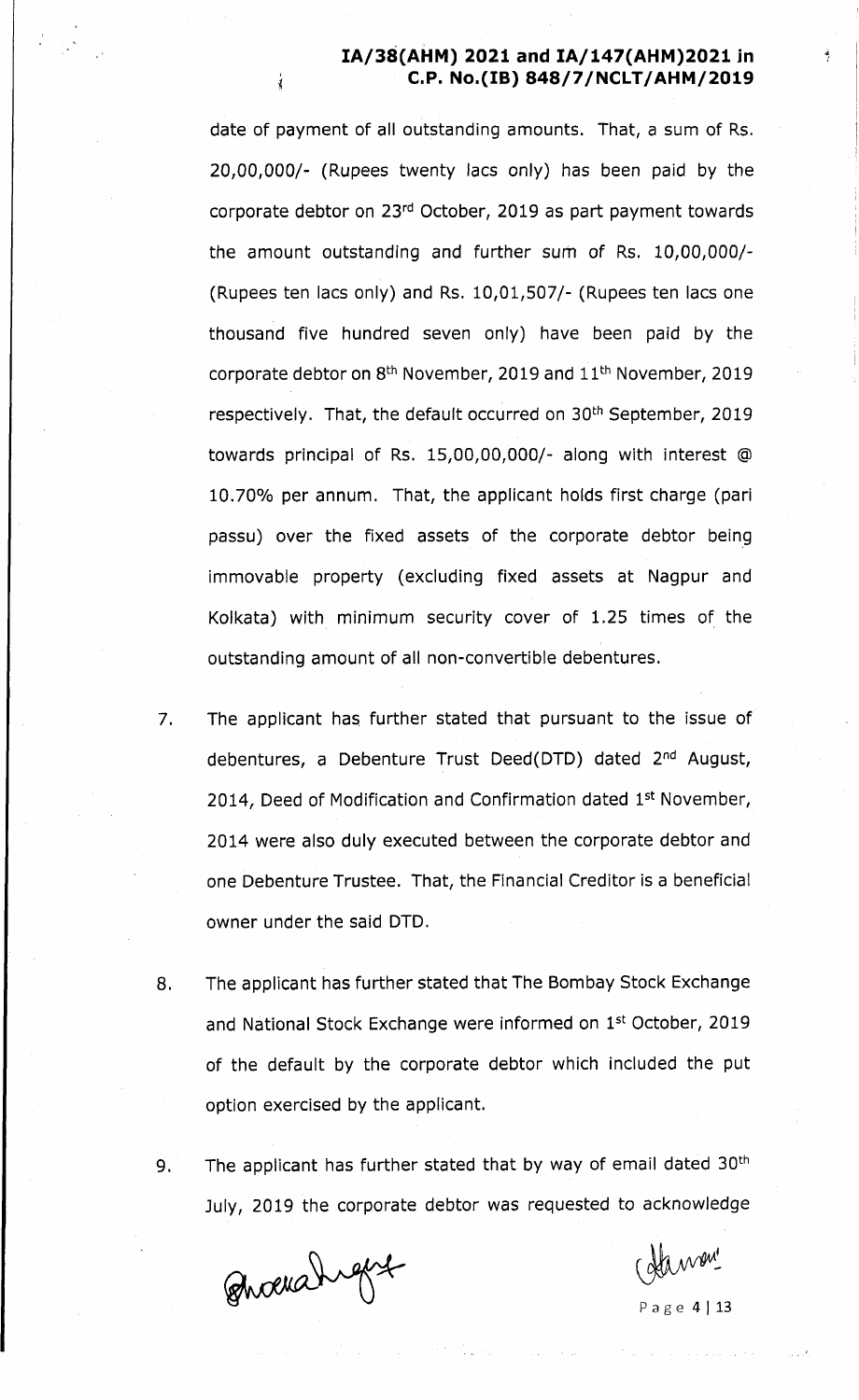date of payment of all outstanding amounts. That, a sum of Rs. 20,00,000/- (Rupees twenty lacs only) has been paid by the corporate debtor on 23rd October, 2019 as part payment towards the amount outstanding and further sum of Rs. 10,00,000/- (Rupees ten lacs only) and Rs. 10,01,507/- (Rupees ten lacs one thousand five hundred seven only) have been paid by the corporate debtor on 8<sup>th</sup> November, 2019 and 11<sup>th</sup> November, 2019 respectively. That, the default occurred on 30<sup>th</sup> September, 2019 towards principal of Rs. 15,00,00,000/- along with interest @ 10.70% per annum. That, the applicant holds first charge (pari passu) over the fixed assets of the corporate debtor being immovable property (excluding fixed assets at Nagpur and Kolkata) with minimum security cover of 1.25 times of the outstanding amount of all non-convertible debentures.

- 7. The applicant has further stated that pursuant to the issue of debentures, a Debenture Trust Deed(DTD) dated 2<sup>nd</sup> August, 2014, Deed of Modification and Confirmation dated 1st November, 2014 were also duly executed between the corporate debtor and one Debenture Trustee. That, the Financial Creditor is a beneficial owner under the said DTD.
- 8. The applicant has further stated that The Bombay Stock Exchange and National Stock Exchange were informed on 1st October, 2019 of the default by the corporate debtor which included the put option exercised by the applicant.
- 9. The applicant has further stated that by way of email dated 30<sup>th</sup> July, 2019 the corporate debtor was requested to acknowledge

Quarahigue

Page  $4$  | 13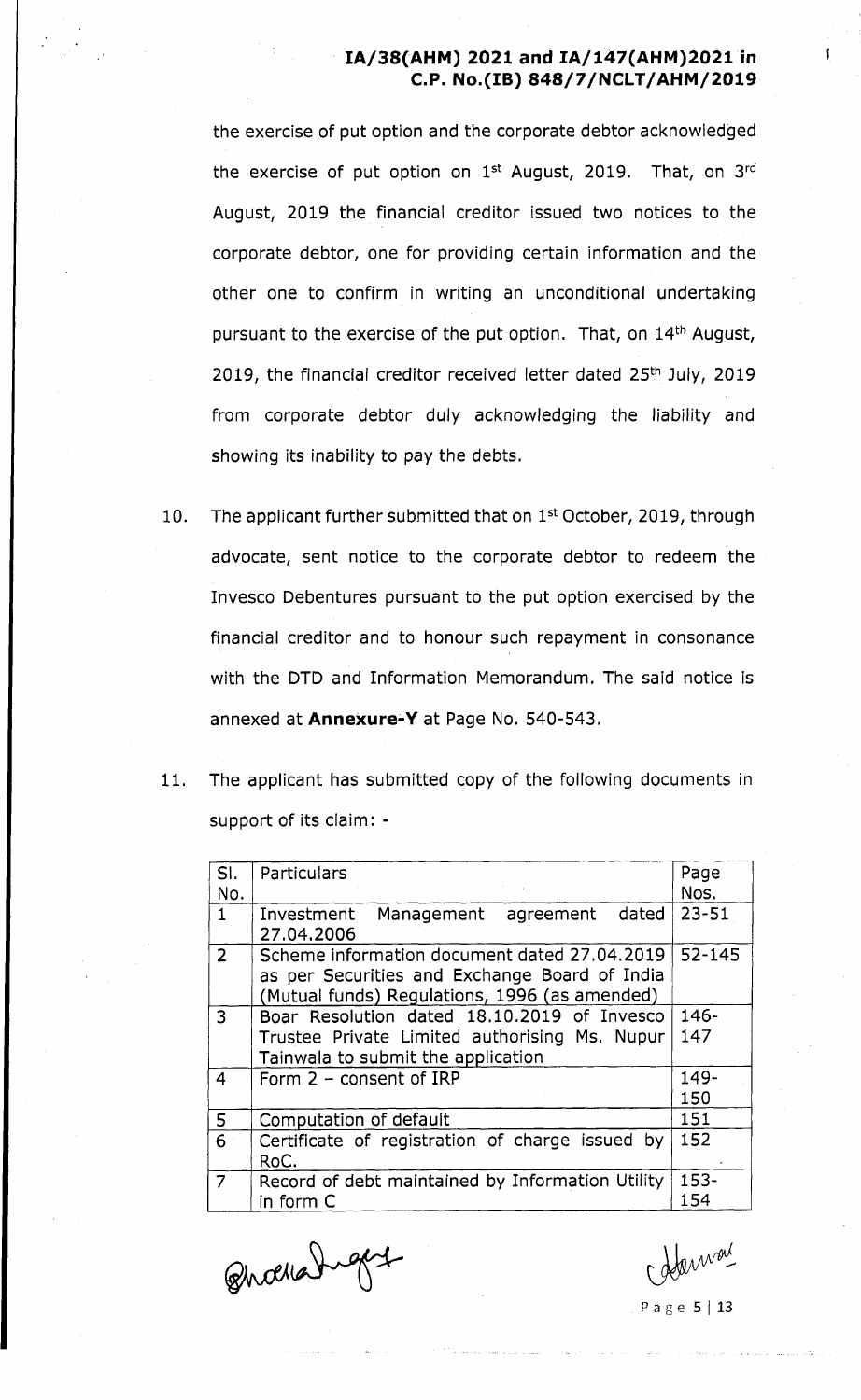the exercise of put option and the corporate debtor acknowledged the exercise of put option on  $1^{st}$  August, 2019. That, on  $3^{rd}$ August, 2019 the financial creditor issued two notices to the corporate debtor, one for providing certain information and the other one to confirm in writing an unconditional undertaking pursuant to the exercise of the put option. That, on 14<sup>th</sup> August, 2019, the financial creditor received letter dated 25<sup>th</sup> July, 2019 from corporate debtor duly acknowledging the liability and showing its inability to pay the debts.

- 10. The applicant further submitted that on 1<sup>st</sup> October, 2019, through advocate, sent notice to the corporate debtor to redeem the Invesco Debentures pursuant to the put option exercised by the financial creditor and to honour such repayment in consonance with the DTD and Information Memorandum. The said notice is annexed at **Annexure-Y** at Page No. 540-543.
- 11. The applicant has submitted copy of the following documents in support of its claim: -

| SI.<br>No.     | Particulars                                                                                                                                    | Page<br>Nos. |  |
|----------------|------------------------------------------------------------------------------------------------------------------------------------------------|--------------|--|
| $\mathbf{1}$   | Investment Management agreement<br>dated<br>27.04.2006                                                                                         | $23 - 51$    |  |
| $\overline{2}$ | Scheme information document dated 27.04.2019<br>as per Securities and Exchange Board of India<br>(Mutual funds) Regulations, 1996 (as amended) |              |  |
| 3              | Boar Resolution dated 18.10.2019 of Invesco<br>Trustee Private Limited authorising Ms. Nupur<br>Tainwala to submit the application             | 146-<br>147  |  |
| 4              | Form $2$ – consent of IRP                                                                                                                      | 149-<br>150  |  |
| 5              | Computation of default                                                                                                                         | 151          |  |
| 6              | Certificate of registration of charge issued by<br>RoC.                                                                                        | 152          |  |
| $\overline{7}$ | Record of debt maintained by Information Utility<br>in form C                                                                                  | 153-<br>154  |  |

Bhochanger

P a g e 5 | 13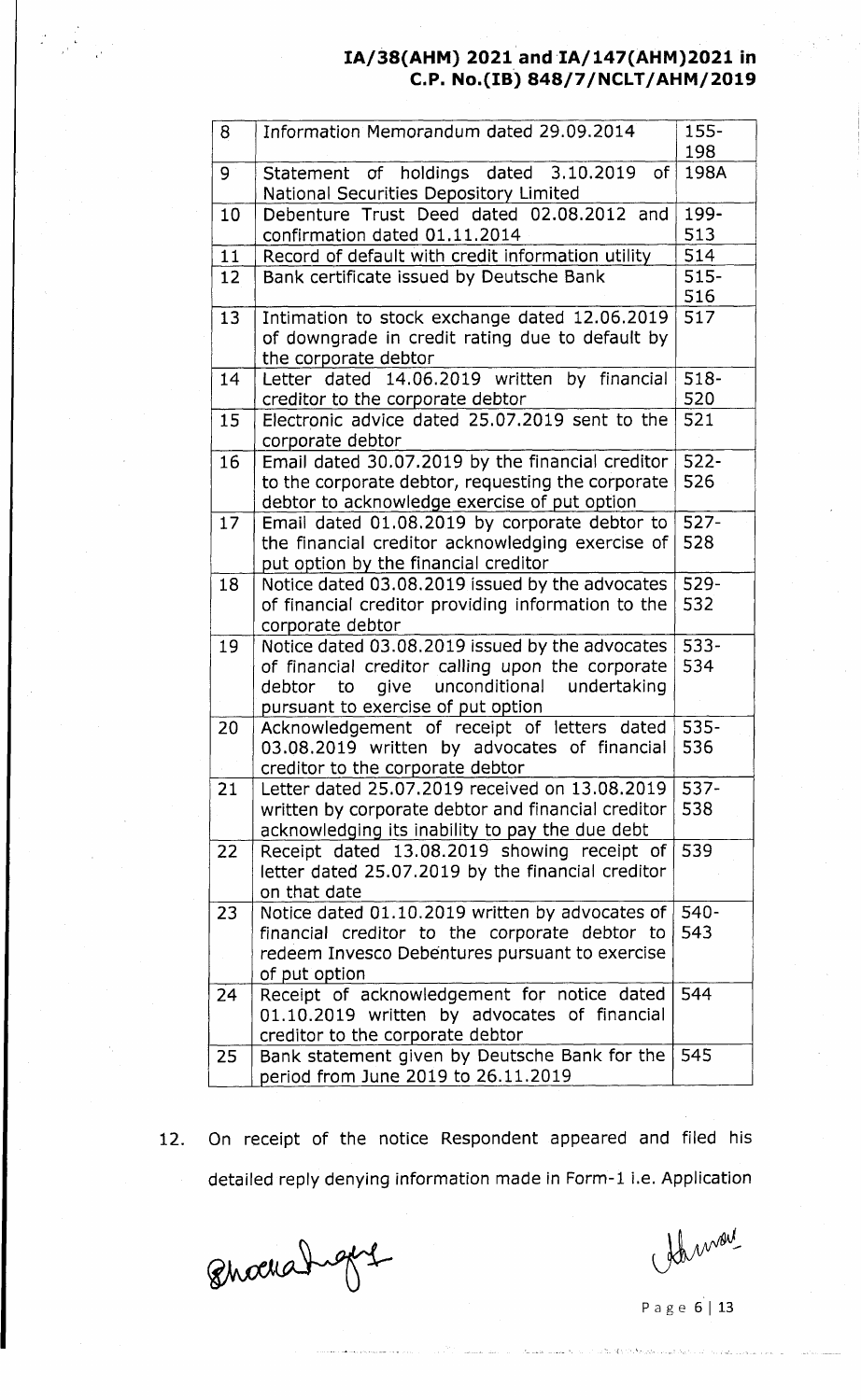| 8  | Information Memorandum dated 29.09.2014                                               | $155 -$<br>198 |
|----|---------------------------------------------------------------------------------------|----------------|
|    |                                                                                       |                |
| 9  | Statement of holdings dated 3.10.2019<br>of<br>National Securities Depository Limited | 198A           |
| 10 | Debenture Trust Deed dated 02.08.2012 and                                             | 199-           |
|    | confirmation dated 01.11.2014                                                         | 513            |
| 11 | Record of default with credit information utility                                     | 514            |
| 12 | Bank certificate issued by Deutsche Bank                                              | $515 -$        |
|    |                                                                                       | 516            |
| 13 | Intimation to stock exchange dated 12.06.2019                                         | 517            |
|    | of downgrade in credit rating due to default by                                       |                |
|    | the corporate debtor                                                                  |                |
| 14 | Letter dated 14.06.2019 written by financial                                          | $518 -$        |
|    | creditor to the corporate debtor                                                      | 520            |
| 15 | Electronic advice dated 25.07.2019 sent to the                                        | 521            |
|    | corporate debtor                                                                      |                |
| 16 | Email dated 30.07.2019 by the financial creditor                                      | $522 -$        |
|    | to the corporate debtor, requesting the corporate                                     | 526            |
|    | debtor to acknowledge exercise of put option                                          |                |
| 17 | Email dated 01.08.2019 by corporate debtor to                                         | $527 -$        |
|    | the financial creditor acknowledging exercise of                                      | 528            |
|    | put option by the financial creditor                                                  |                |
| 18 | Notice dated 03.08.2019 issued by the advocates                                       | 529-           |
|    | of financial creditor providing information to the                                    | 532            |
|    | corporate debtor                                                                      |                |
| 19 | Notice dated 03.08.2019 issued by the advocates                                       | $533 -$        |
|    | of financial creditor calling upon the corporate                                      | 534            |
|    | unconditional<br>give<br>undertaking<br>debtor<br>to                                  |                |
|    | pursuant to exercise of put option                                                    |                |
| 20 | Acknowledgement of receipt of letters dated                                           | 535-           |
|    | 03.08.2019 written by advocates of financial                                          | 536            |
|    | creditor to the corporate debtor                                                      |                |
| 21 | Letter dated 25.07.2019 received on 13.08.2019                                        | $537 -$        |
|    | written by corporate debtor and financial creditor                                    | 538            |
|    | acknowledging its inability to pay the due debt                                       |                |
| 22 | Receipt dated 13.08.2019 showing receipt of                                           | 539            |
|    | letter dated 25.07.2019 by the financial creditor                                     |                |
|    | on that date                                                                          |                |
| 23 | Notice dated 01.10.2019 written by advocates of                                       | 540-           |
|    | financial creditor to the corporate debtor to                                         | 543            |
|    | redeem Invesco Debentures pursuant to exercise                                        |                |
|    | of put option                                                                         |                |
| 24 | Receipt of acknowledgement for notice dated                                           | 544            |
|    | 01.10.2019 written by advocates of financial                                          |                |
|    | creditor to the corporate debtor                                                      |                |
| 25 | Bank statement given by Deutsche Bank for the                                         | 545            |
|    | period from June 2019 to 26.11.2019                                                   |                |
|    |                                                                                       |                |

12. On receipt of the notice Respondent appeared and filed his detailed reply denying information made in Form-1 i.e. Application

Bhochangers

 $W^{\text{out}}$ <br>Page 6 | 13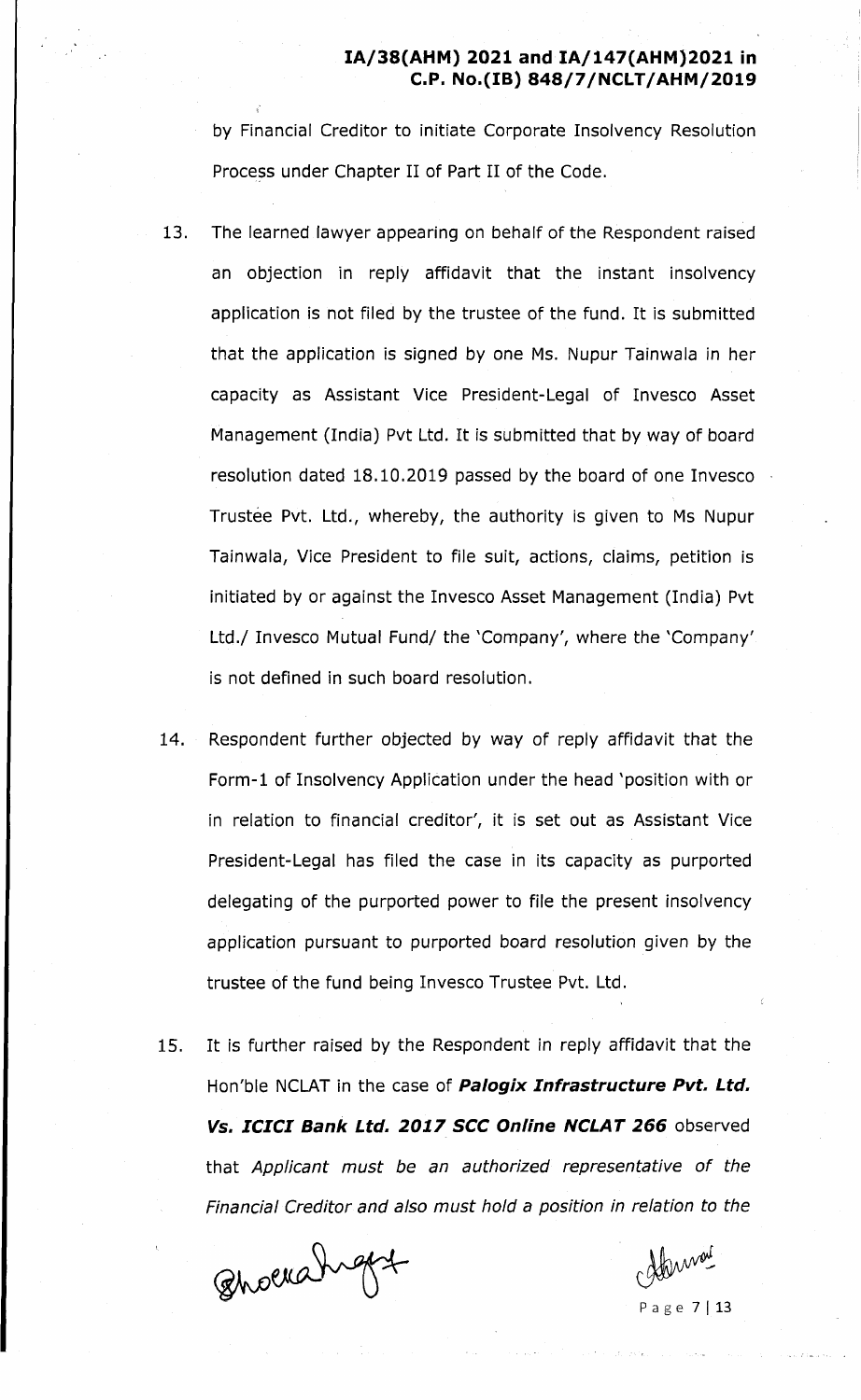by Financial Creditor to initiate Corporate Insolvency Resolution Process under Chapter II of Part II of the Code.

- 13. The learned lawyer appearing on behalf of the Respondent raised an objection in reply affidavit that the instant insolvency application is not filed by the trustee of the fund. It is submitted that the application is signed by one Ms. Nupur Tainwala in her capacity as Assistant Vice President-Legal of Invesco Asset Management (India) Pvt Ltd. It is submitted that by way of board resolution dated 18.10.2019 passed by the board of one Invesco Trustee Pvt. Ltd., whereby, the authority is given to Ms Nupur Tainwala, Vice President to file suit, actions, claims, petition is initiated by or against the Invesco Asset Management (India) Pvt Ltd./ Invesco Mutual Fund/ the 'Company', where the 'Company'. is not defined in such board resolution.
- 14. Respondent further objected by way of reply affidavit that the Form-1 of Insolvency Application under the head 'position with or in relation to financial creditor', it is set out as Assistant Vice President-Legal has filed the case in its capacity as purported delegating of the purported power to file the present insolvency application pursuant to purported board resolution given by the trustee of the fund being Invesco Trustee Pvt. Ltd.
- 15. It is further raised by the Respondent in reply affidavit that the Hon'ble NCLAT in the case of *Palogix Infrastructure Pvt. Ltd. Vs. ICICI Bank Ltd. 2017 SCC Online NCLAT 266* observed that *Applicant must be an authorized representative of the Financial Creditor and also must hold a position in relation to the*

Bhoerahight

<sup>2</sup> a g e 7 | 13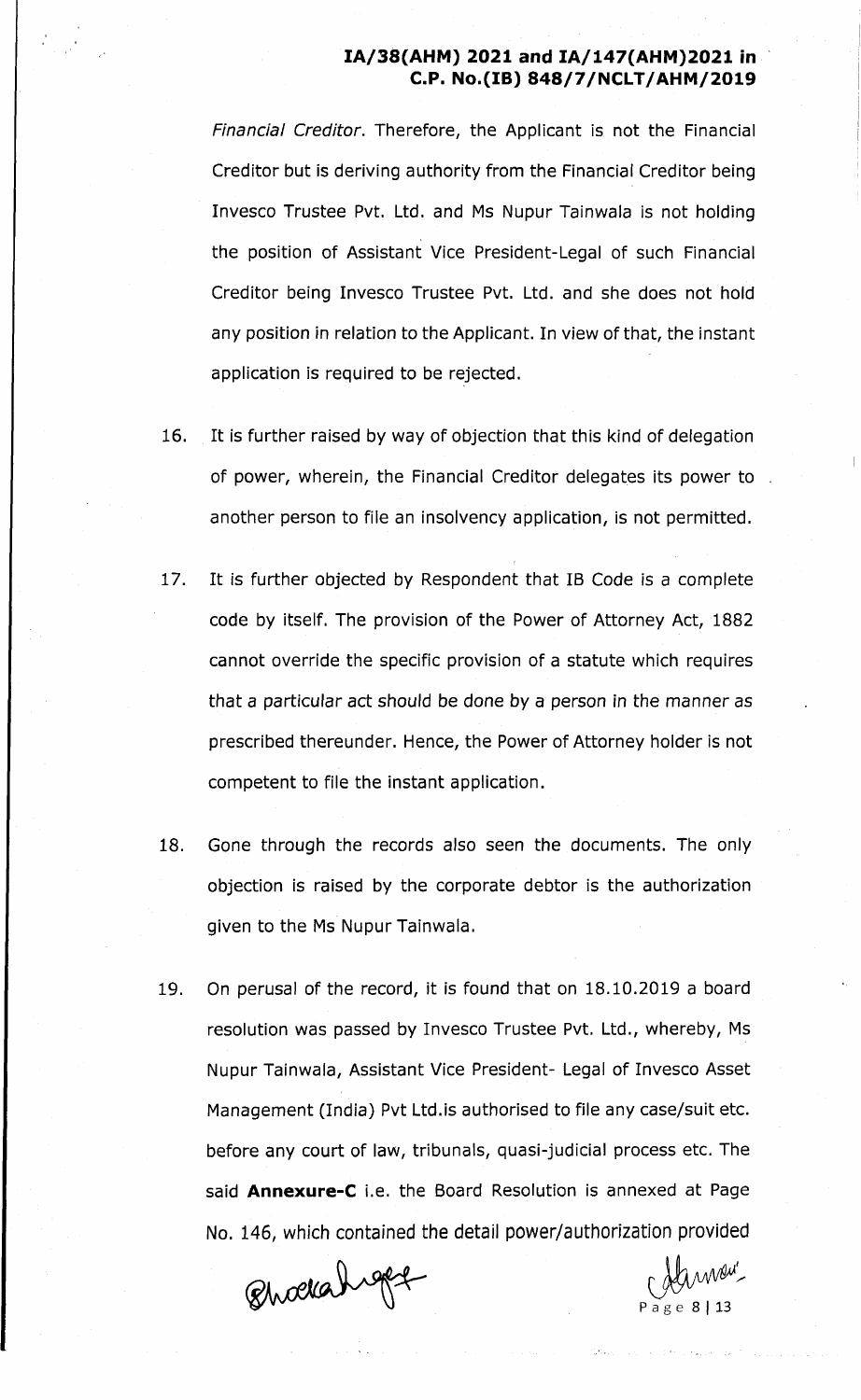*Financial Creditor.* Therefore, the Applicant is not the Financial Creditor but is deriving authority from the Financial Creditor being Invesco Trustee Pvt. Ltd. and Ms Nupur Tainwala is not holding the position of Assistant Vice President-Legal of such Financial Creditor being Invesco Trustee Pvt. Ltd. and she does not hold any position in relation to the Applicant. In view of that, the instant application is required to be rejected.

- 16. It is further raised by way of objection that this kind of delegation of power, wherein, the Financial Creditor delegates its power to another person to file an insolvency application, is not permitted.
- 17. It is further objected by Respondent that IB Code is a complete code by itself. The provision of the Power of Attorney Act, 1882 cannot override the specific provision of a statute which requires that a particular act should be done by a person in the manner as prescribed thereunder. Hence, the Power of Attorney holder is not competent to file the instant application.
- 18. Gone through the records also seen the documents. The only objection is raised by the corporate debtor is the authorization given to the Ms Nupur Tainwala.
- 19. On perusal of the record, it is found that on 18.10.2019 a board resolution was passed by Invesco Trustee Pvt. Ltd., whereby, Ms Nupur Tainwala, Assistant Vice President- Legal of Invesco Asset Management (India) Pvt Ltd.is authorised to file any case/suit etc. before any court of law, tribunals, quasi-judicial process etc. The said **Annexure-C** i.e. the Board Resolution is annexed at Page No. 146, which contained the detail power/authorization provided

Quockahiget

P a g e 8 | 13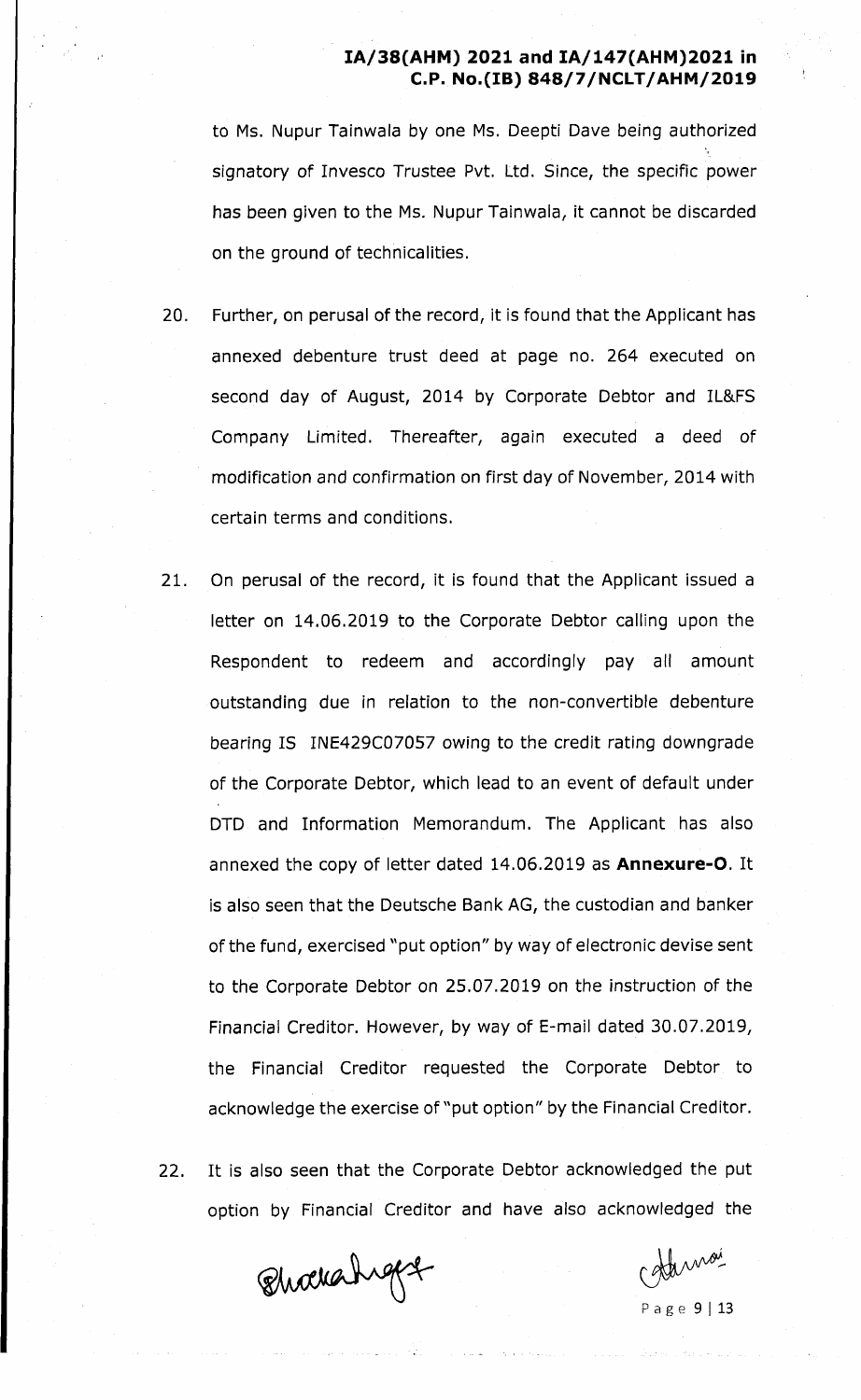to Ms. Nupur Tainwala by one Ms. Deepti Dave being authorized signatory of Invesco Trustee Pvt. Ltd. Since, the specific power has been given to the Ms. Nupur Tainwala, it cannot be discarded on the ground of technicalities.

- 20. Further, on perusal of the record, it is found that the Applicant has annexed debenture trust deed at page no. 264 executed on second day of August, 2014 by Corporate Debtor and IL&FS Company Limited. Thereafter, again executed a deed of modification and confirmation on first day of November, 2014 with certain terms and conditions.
- 21. On perusal of the record, it is found that the Applicant issued a letter on 14.06.2019 to the Corporate Debtor calling upon the Respondent to redeem and accordingly pay all amount outstanding due in relation to the non-convertible debenture bearing IS INE429C07057 owing to the credit rating downgrade of the Corporate Debtor, which lead to an event of default under DTD and Information Memorandum. The Applicant has also annexed the copy of letter dated 14.06.2019 as **Annexure-O.** It is also seen that the Deutsche Bank AG, the custodian and banker of the fund, exercised "put option" by way of electronic devise sent to the Corporate Debtor on 25.07.2019 on the instruction of the Financial Creditor. However, by way of E-mail dated 30.07.2019, the Financial Creditor requested the Corporate Debtor to acknowledge the exercise of "put option" by the Financial Creditor.
- 22. It is also seen that the Corporate Debtor acknowledged the put option by Financial Creditor and have also acknowledged the

Qhockahiget

damoi

P a g e 9 | 13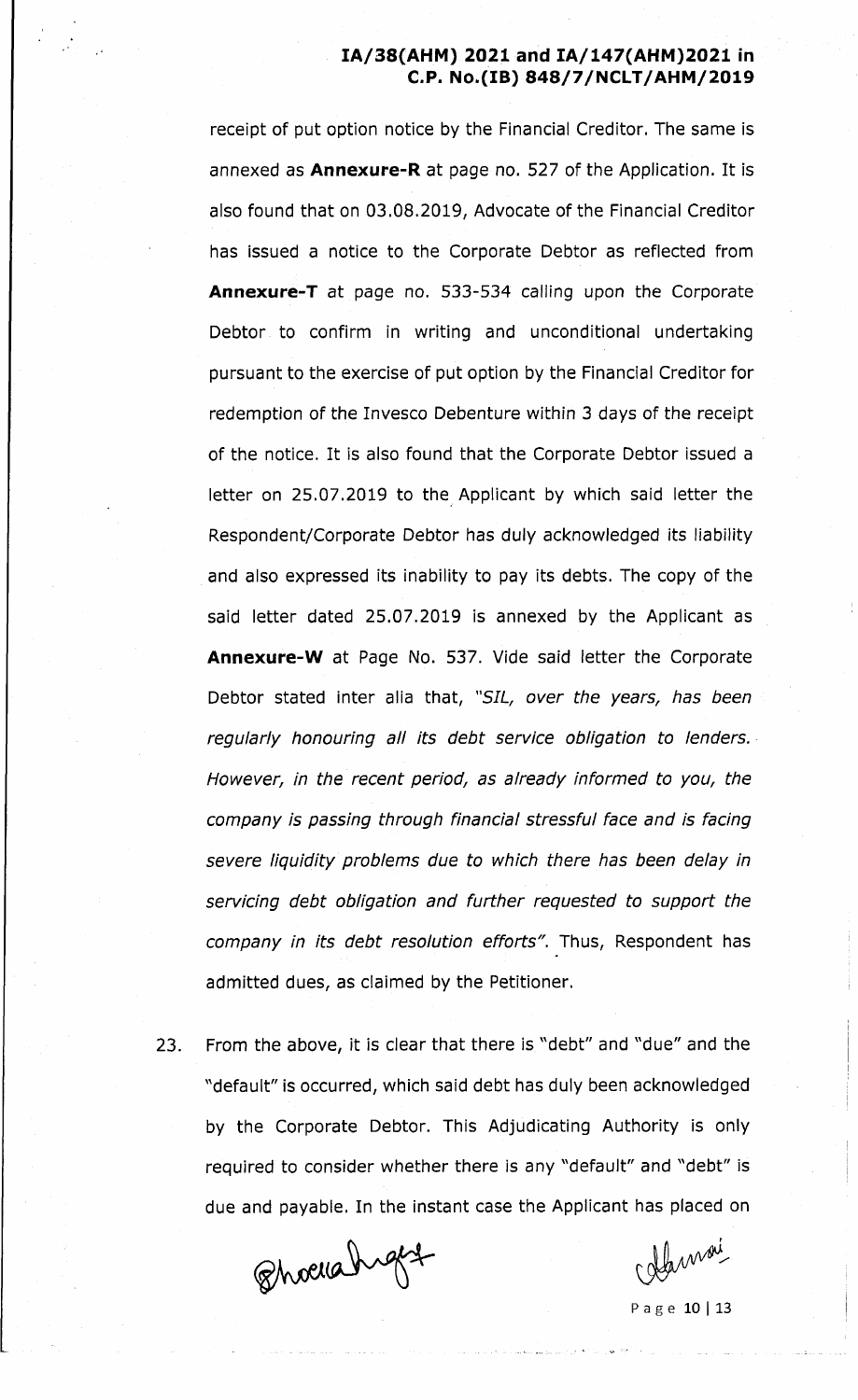receipt of put option notice by the Financial Creditor. The same is annexed as **Annexure-R** at page no. 527 of the Application. It is also found that on 03.08.2019, Advocate of the Financial Creditor has issued a notice to the Corporate Debtor as reflected from **Annexure-T** at page no. 533-534 calling upon the Corporate Debtor to confirm in writing and unconditional undertaking pursuant to the exercise of put option by the Financial Creditor for redemption of the Invesco Debenture within 3 days of the receipt of the notice. It is also found that the Corporate Debtor issued a letter on 25.07.2019 to the Applicant by which said letter the Respondent/Corporate Debtor has duly acknowledged its liability and also expressed its inability to pay its debts. The copy of the said letter dated 25.07.2019 is annexed by the Applicant as **Annexure-W** at Page No. 537. Vide said letter the Corporate Debtor stated inter alia that, *"SIL, over the years, has been regularly honouring all its debt service obligation to lenders. However***,** *in the recent period, as already informed to you, the company is passing through financial stressful face and is facing severe liquidity problems due to which there has been delay in servicing debt obligation and further requested to support the* company in its debt resolution efforts". Thus, Respondent has admitted dues, as claimed by the Petitioner.

23. From the above, it is clear that there is "debt" and "due" and the "default" is occurred, which said debt has duly been acknowledged by the Corporate Debtor. This Adjudicating Authority is only required to consider whether there is any "default" and "debt" is due and payable. In the instant case the Applicant has placed on

Phoelahight

Alamai

P a g e 10 | 13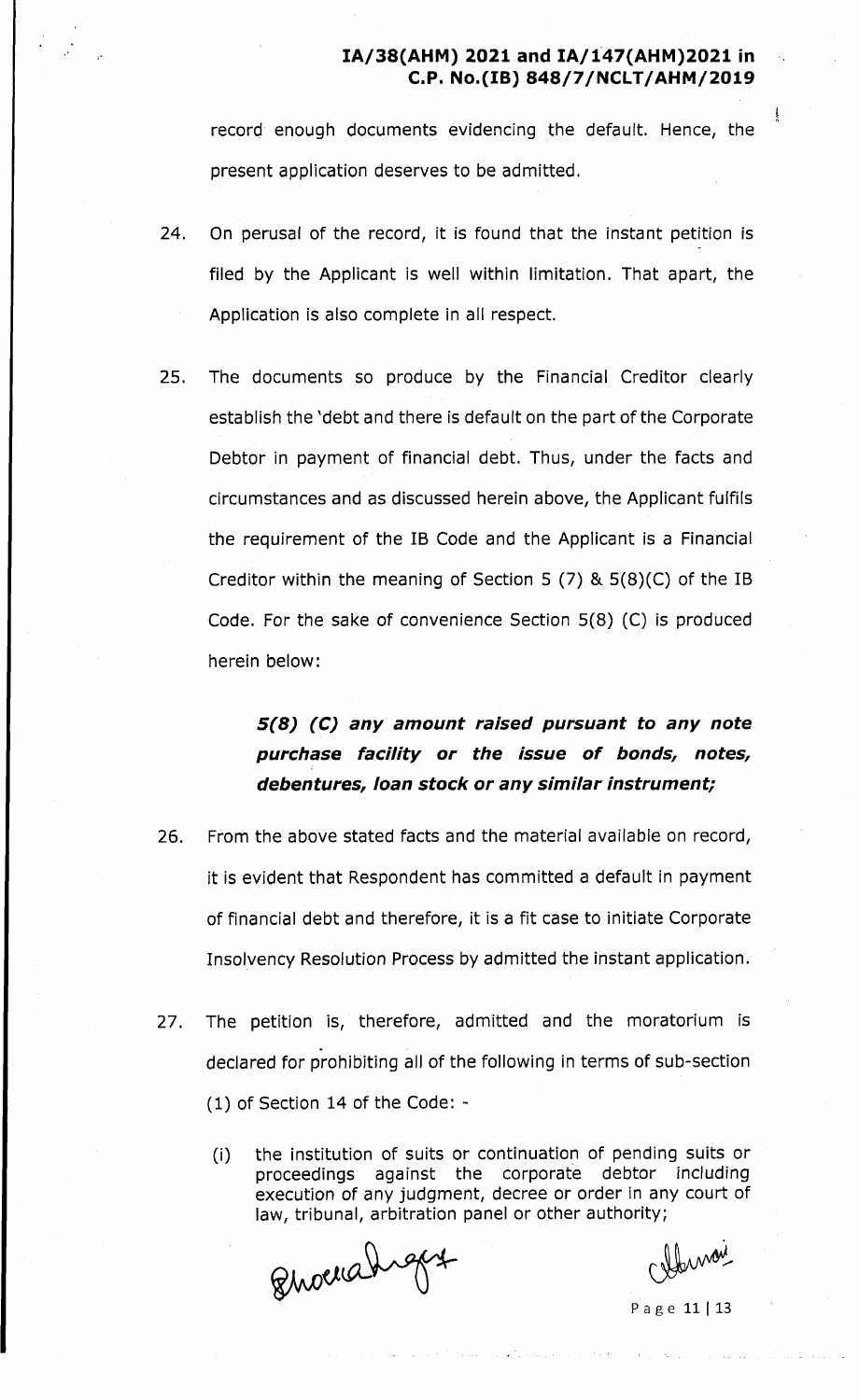record enough documents evidencing the default. Hence, the present application deserves to be admitted.

- 24. On perusal of the record, it is found that the instant petition is filed by the Applicant is well within limitation. That apart, the Application is also complete in all respect.
- 25. The documents so produce by the Financial Creditor clearly establish the 'debt and there is default on the part of the Corporate Debtor in payment of financial debt. Thus, under the facts and circumstances and as discussed herein above, the Applicant fulfils the requirement of the IB Code and the Applicant is a Financial Creditor within the meaning of Section 5 (7) & 5(8)(C) of the IB Code. For the sake of convenience Section 5(8) (C) is produced herein below:

# *5(8) (C) any amount raised pursuant to any note purchase facility or the issue of bonds, notes, debentures, loan stock or any similar instrument;*

- 26. From the above stated facts and the material available on record, it is evident that Respondent has committed a default in payment of financial debt and therefore, it is a fit case to initiate Corporate Insolvency Resolution Process by admitted the instant application.
- 27. The petition is, therefore, admitted and the moratorium is declared for prohibiting all of the following in terms of sub-section (1) of Section 14 of the Code: -
	- (i) the institution of suits or continuation of pending suits or proceedings against the corporate debtor including execution of any judgment, decree or order in any court of law, tribunal, arbitration panel or other authority;

Quocrahigay

Cleman

P a g e 11 | 13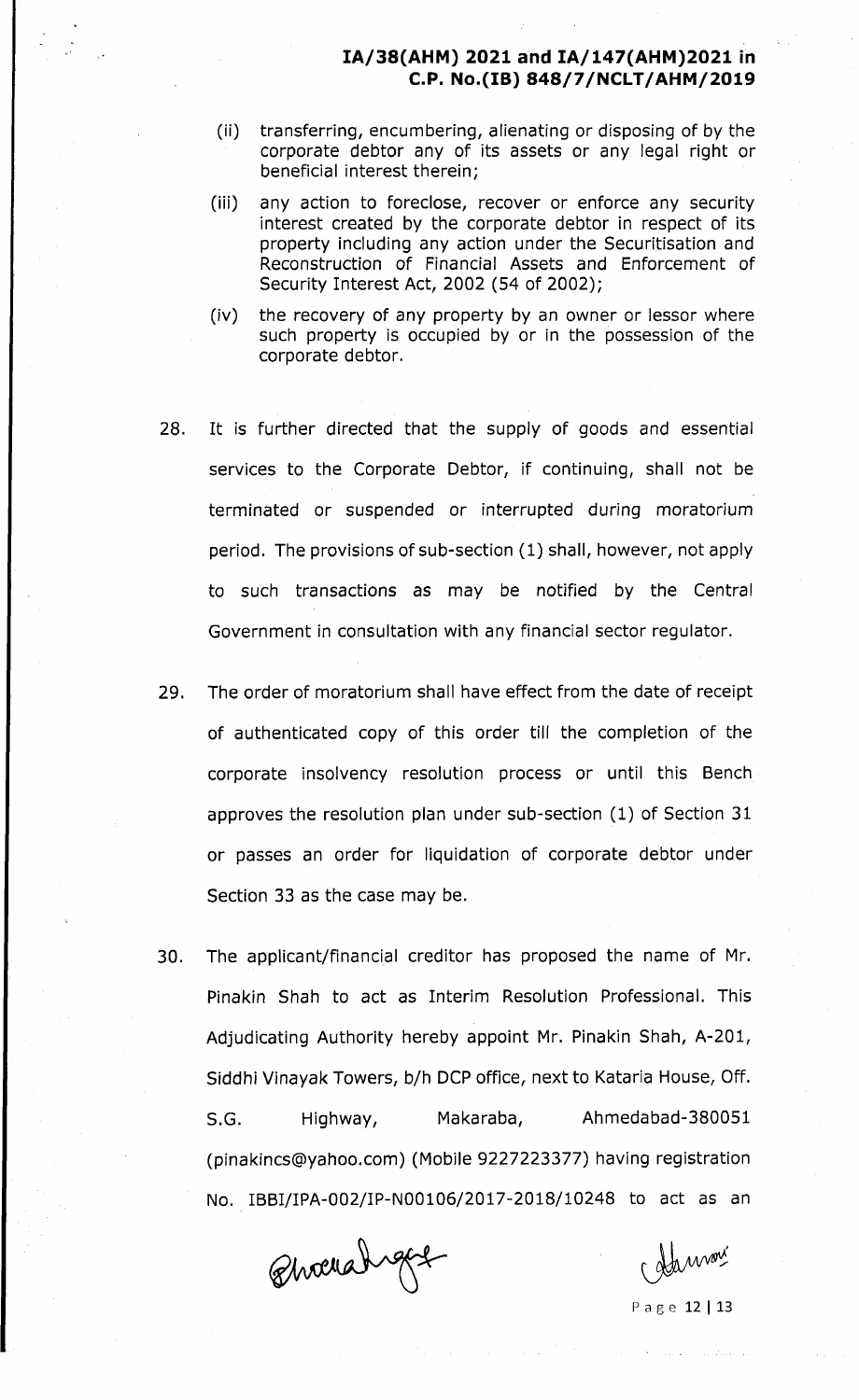- (ii) transferring, encumbering, alienating or disposing of by the corporate debtor any of its assets or any legal right or beneficial interest therein;
- (iii) any action to foreclose, recover or enforce any security interest created by the corporate debtor in respect of its property including any action under the Securitisation and Reconstruction of Financial Assets and Enforcement of Security Interest Act, 2002 (54 of 2002);
- (iv) the recovery of any property by an owner or lessor where such property is occupied by or in the possession of the corporate debtor.
- 28. It is further directed that the supply of goods and essential services to the Corporate Debtor, if continuing, shall not be terminated or suspended or interrupted during moratorium period. The provisions of sub-section (1) shall, however, not apply to such transactions as may be notified by the Central Government in consultation with any financial sector regulator.
- 29. The order of moratorium shall have effect from the date of receipt of authenticated copy of this order till the completion of the corporate insolvency resolution process or until this Bench approves the resolution plan under sub-section (1) of Section 31 or passes an order for liquidation of corporate debtor under Section 33 as the case may be.
- 30. The applicant/financial creditor has proposed the name of Mr. Pinakin Shah to act as Interim Resolution Professional. This Adjudicating Authority hereby appoint Mr. Pinakin Shah, A-201, Siddhi Vinayak Towers, b/h DCP office, next to Kataria House, Off. S.G. Highway, Makaraba, Ahmedabad-380051 [\(pinakincs@yahoo.com\)](mailto:pinakincs@yahoo.com) (Mobile 9227223377) having registration No. IBBI/IPA-002/IP-N00106/2017-2018/10248 to act as an

Qhochahrget

P a g e 12 | 13